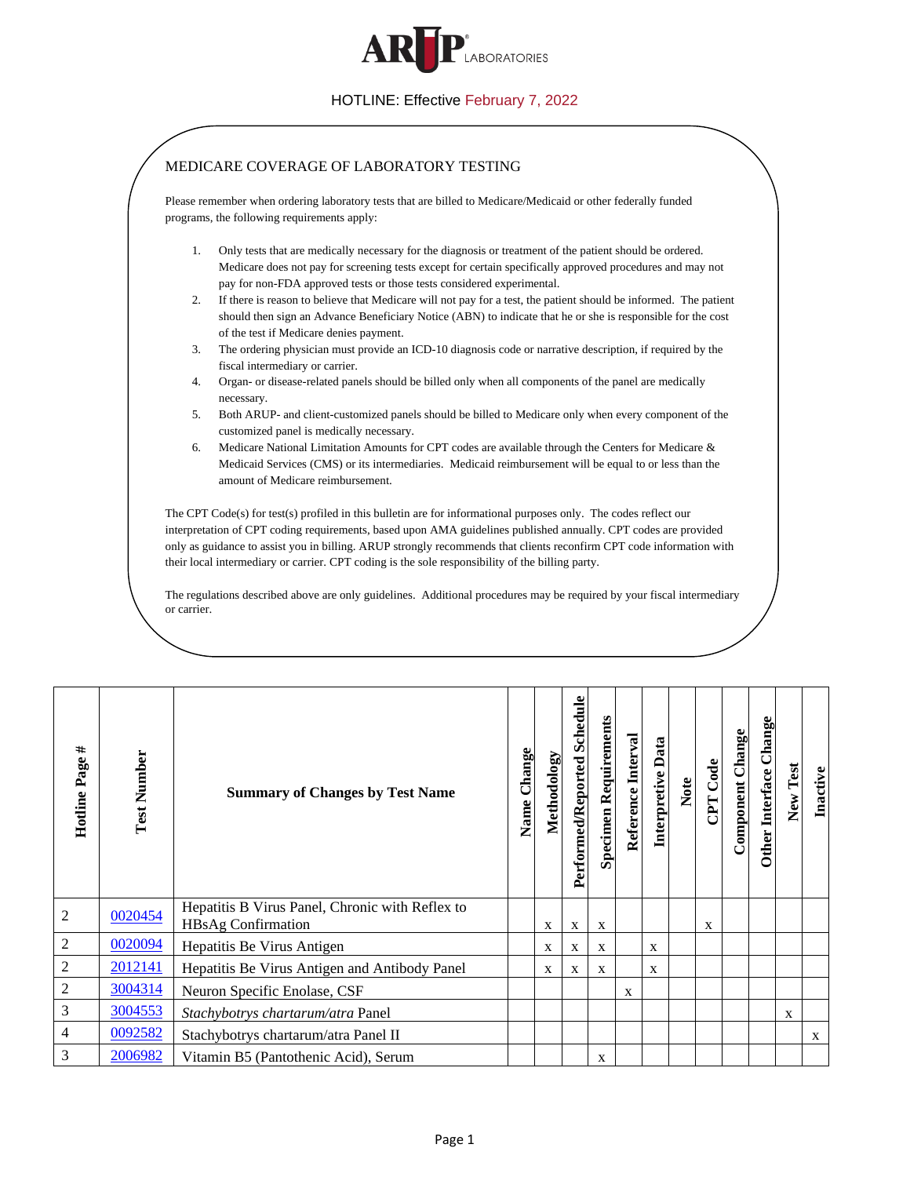

<span id="page-0-6"></span><span id="page-0-5"></span><span id="page-0-4"></span><span id="page-0-3"></span><span id="page-0-2"></span><span id="page-0-1"></span><span id="page-0-0"></span>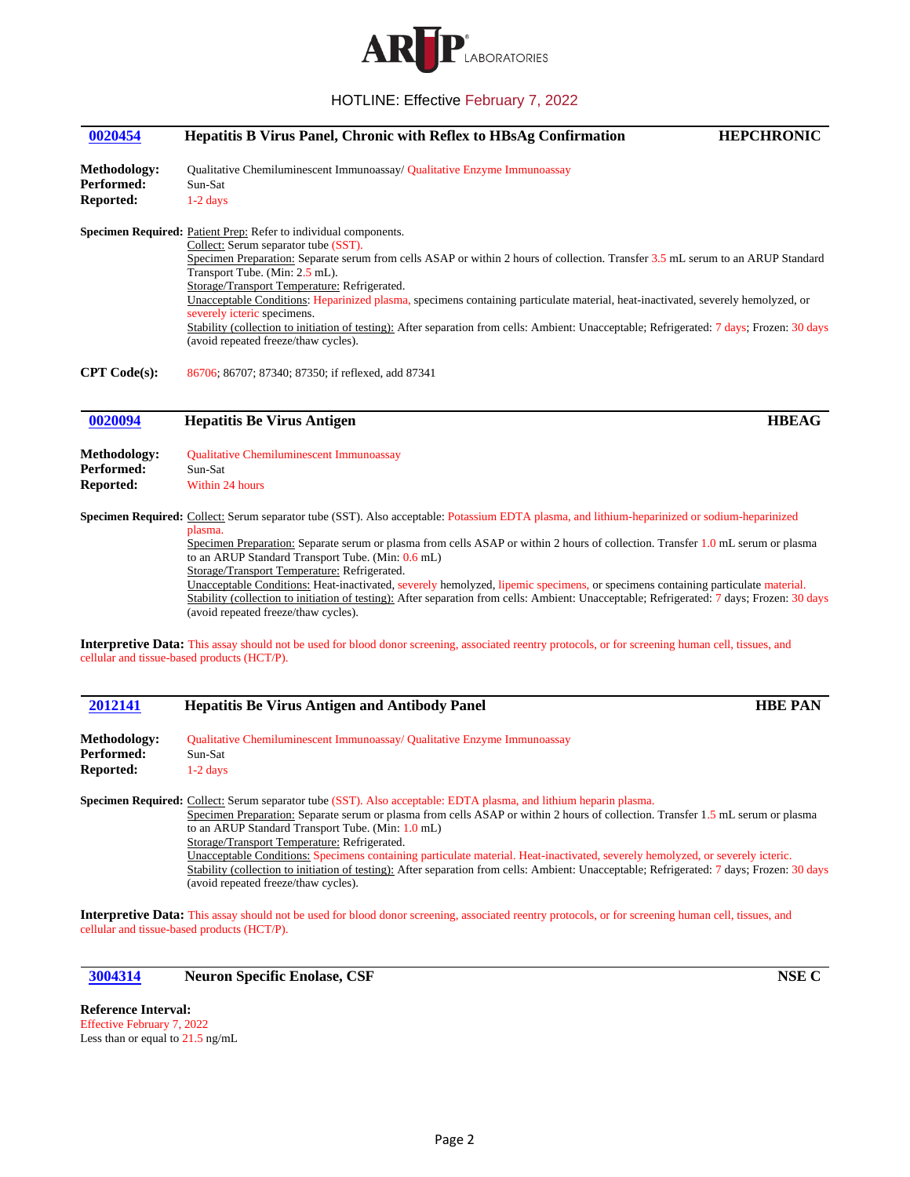

# <span id="page-1-0"></span>**[0020454](#page-0-0) Hepatitis B Virus Panel, Chronic with Reflex to HBsAg Confirmation HEPCHRONIC**

**Methodology:** Qualitative Chemiluminescent Immunoassay/ Qualitative Enzyme Immunoassay Performed: Sun-Sat **Reported:** 1-2 days

**Specimen Required:** Patient Prep: Refer to individual components.

Collect: Serum separator tube (SST). Specimen Preparation: Separate serum from cells ASAP or within 2 hours of collection. Transfer 3.5 mL serum to an ARUP Standard Transport Tube. (Min: 2.5 mL). Storage/Transport Temperature: Refrigerated. Unacceptable Conditions: Heparinized plasma, specimens containing particulate material, heat-inactivated, severely hemolyzed, or severely icteric specimens. Stability (collection to initiation of testing): After separation from cells: Ambient: Unacceptable; Refrigerated: 7 days; Frozen: 30 days (avoid repeated freeze/thaw cycles).

**CPT Code(s):** 86706; 86707; 87340; 87350; if reflexed, add 87341

#### <span id="page-1-1"></span>**[0020094](#page-0-1) Hepatitis Be Virus Antigen HBEAG**

**Methodology:** Qualitative Chemiluminescent Immunoassay Performed: Sun-Sat **Reported:** Within 24 hours

**Specimen Required:** Collect: Serum separator tube (SST). Also acceptable: Potassium EDTA plasma, and lithium-heparinized or sodium-heparinized plasma.

Specimen Preparation: Separate serum or plasma from cells ASAP or within 2 hours of collection. Transfer 1.0 mL serum or plasma to an ARUP Standard Transport Tube. (Min: 0.6 mL)

Storage/Transport Temperature: Refrigerated.

Unacceptable Conditions: Heat-inactivated, severely hemolyzed, lipemic specimens, or specimens containing particulate material. Stability (collection to initiation of testing): After separation from cells: Ambient: Unacceptable; Refrigerated: 7 days; Frozen: 30 days (avoid repeated freeze/thaw cycles).

**Interpretive Data:** This assay should not be used for blood donor screening, associated reentry protocols, or for screening human cell, tissues, and cellular and tissue-based products (HCT/P).

<span id="page-1-2"></span>

| 2012141             | <b>Hepatitis Be Virus Antigen and Antibody Panel</b>                                                                            | <b>HBE PAN</b> |
|---------------------|---------------------------------------------------------------------------------------------------------------------------------|----------------|
| <b>Methodology:</b> | <b>Oualitative Chemiluminescent Immunoassay/ Qualitative Enzyme Immunoassay</b>                                                 |                |
| <b>Performed:</b>   | Sun-Sat                                                                                                                         |                |
| Reported:           | $1-2$ days                                                                                                                      |                |
|                     | Specimen Required: Collect: Serum separator tube (SST). Also acceptable: EDTA plasma, and lithium heparin plasma.               |                |
|                     | Specimen Preparation: Separate serum or plasma from cells ASAP or within 2 hours of collection. Transfer 1.5 mL serum or plasma |                |
|                     | to an ARUP Standard Transport Tube. (Min: 1.0 mL)                                                                               |                |
|                     | Storage/Transport Temperature: Petrigerated                                                                                     |                |

Temperature: Refrigerated. Unacceptable Conditions: Specimens containing particulate material. Heat-inactivated, severely hemolyzed, or severely icteric. Stability (collection to initiation of testing): After separation from cells: Ambient: Unacceptable; Refrigerated: 7 days; Frozen: 30 days (avoid repeated freeze/thaw cycles).

**Interpretive Data:** This assay should not be used for blood donor screening, associated reentry protocols, or for screening human cell, tissues, and cellular and tissue-based products (HCT/P).

<span id="page-1-3"></span>**[3004314](#page-0-3) Neuron Specific Enolase, CSF NSE C**

**Reference Interval:** Effective February 7, 2022 Less than or equal to 21.5 ng/mL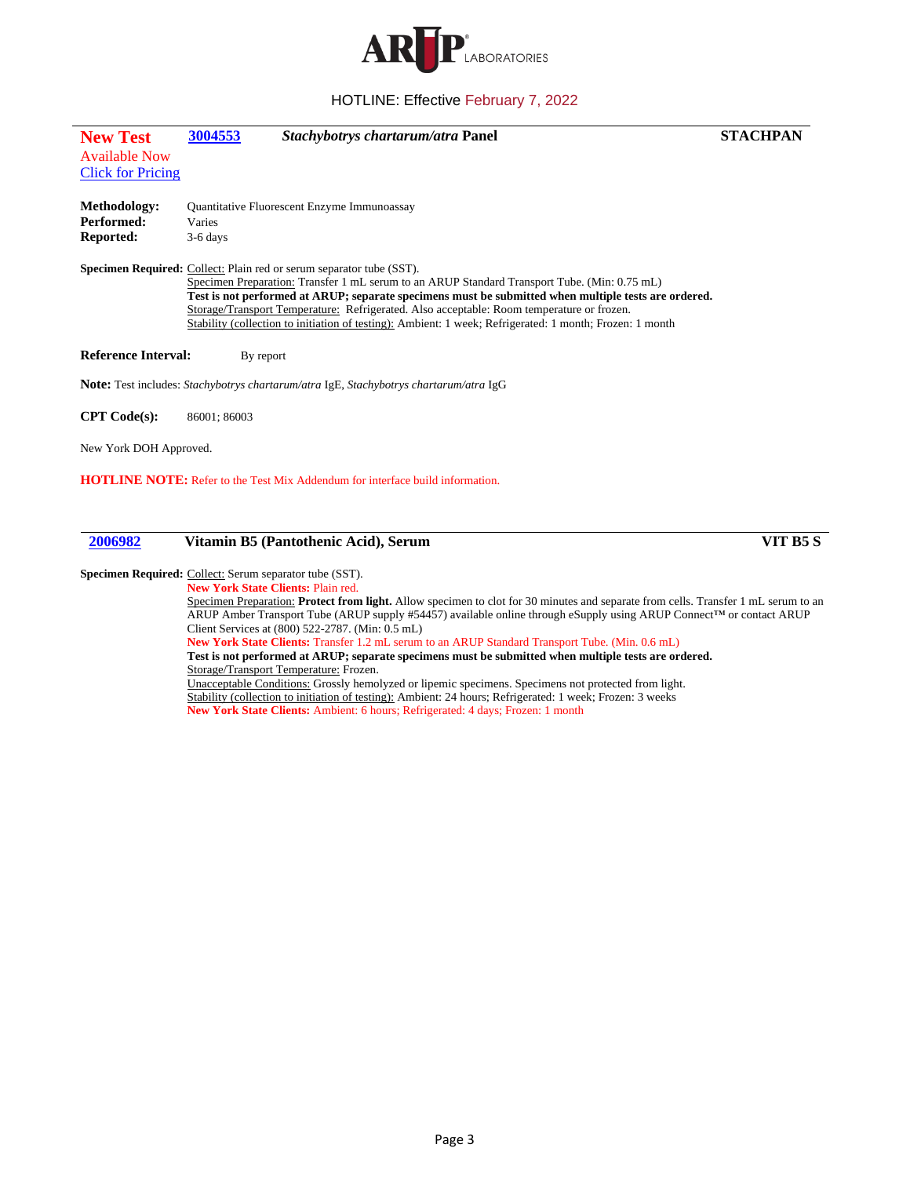

<span id="page-2-0"></span>

| <b>New Test</b><br><b>Available Now</b> | 3004553     | Stachybotrys chartarum/atra Panel                                                                                                                                                                                                                                                                                                                                                                                                                                                            | <b>STACHPAN</b> |
|-----------------------------------------|-------------|----------------------------------------------------------------------------------------------------------------------------------------------------------------------------------------------------------------------------------------------------------------------------------------------------------------------------------------------------------------------------------------------------------------------------------------------------------------------------------------------|-----------------|
| <b>Click for Pricing</b>                |             |                                                                                                                                                                                                                                                                                                                                                                                                                                                                                              |                 |
| <b>Methodology:</b>                     |             | <b>Quantitative Fluorescent Enzyme Immunoassay</b>                                                                                                                                                                                                                                                                                                                                                                                                                                           |                 |
| Performed:                              | Varies      |                                                                                                                                                                                                                                                                                                                                                                                                                                                                                              |                 |
| <b>Reported:</b>                        | $3-6$ days  |                                                                                                                                                                                                                                                                                                                                                                                                                                                                                              |                 |
|                                         |             | <b>Specimen Required:</b> Collect: Plain red or serum separator tube (SST).<br>Specimen Preparation: Transfer 1 mL serum to an ARUP Standard Transport Tube. (Min: 0.75 mL)<br>Test is not performed at ARUP; separate specimens must be submitted when multiple tests are ordered.<br>Storage/Transport Temperature: Refrigerated. Also acceptable: Room temperature or frozen.<br>Stability (collection to initiation of testing): Ambient: 1 week; Refrigerated: 1 month; Frozen: 1 month |                 |
| <b>Reference Interval:</b>              | By report   |                                                                                                                                                                                                                                                                                                                                                                                                                                                                                              |                 |
|                                         |             | Note: Test includes: Stachybotrys chartarum/atra IgE, Stachybotrys chartarum/atra IgG                                                                                                                                                                                                                                                                                                                                                                                                        |                 |
| CPT Code(s):                            | 86001:86003 |                                                                                                                                                                                                                                                                                                                                                                                                                                                                                              |                 |
| New York DOH Approved.                  |             |                                                                                                                                                                                                                                                                                                                                                                                                                                                                                              |                 |
|                                         |             | <b>HOTLINE NOTE:</b> Refer to the Test Mix Addendum for interface build information.                                                                                                                                                                                                                                                                                                                                                                                                         |                 |
|                                         |             |                                                                                                                                                                                                                                                                                                                                                                                                                                                                                              |                 |
|                                         |             |                                                                                                                                                                                                                                                                                                                                                                                                                                                                                              |                 |

## <span id="page-2-1"></span>**[2006982](#page-0-5) Vitamin B5 (Pantothenic Acid), Serum VIT B5 S**

#### Specimen Required: Collect: Serum separator tube (SST).

**New York State Clients:** Plain red. Specimen Preparation: **Protect from light.** Allow specimen to clot for 30 minutes and separate from cells. Transfer 1 mL serum to an ARUP Amber Transport Tube (ARUP supply #54457) available online through eSupply using ARUP Connect™ or contact ARUP Client Services at (800) 522-2787. (Min: 0.5 mL) **New York State Clients:** Transfer 1.2 mL serum to an ARUP Standard Transport Tube. (Min. 0.6 mL)

**Test is not performed at ARUP; separate specimens must be submitted when multiple tests are ordered.** Storage/Transport Temperature: Frozen.

Unacceptable Conditions: Grossly hemolyzed or lipemic specimens. Specimens not protected from light. Stability (collection to initiation of testing): Ambient: 24 hours; Refrigerated: 1 week; Frozen: 3 weeks **New York State Clients:** Ambient: 6 hours; Refrigerated: 4 days; Frozen: 1 month